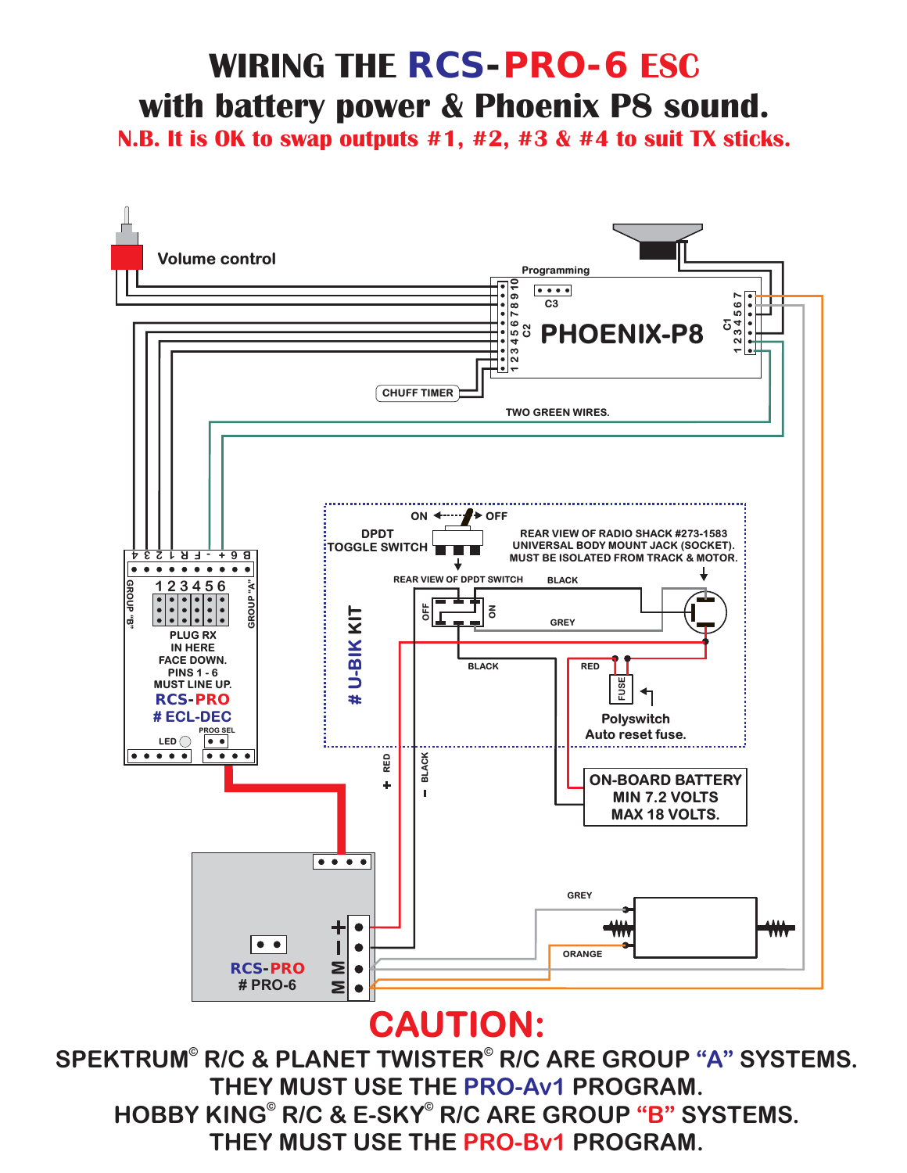# **WIRING THE** *RCS-PRO-6* **ESC with battery power & Phoenix P8 sound.**

**N.B. It is OK to swap outputs #1, #2, #3 & #4 to suit TX sticks.**



### **CAUTION:**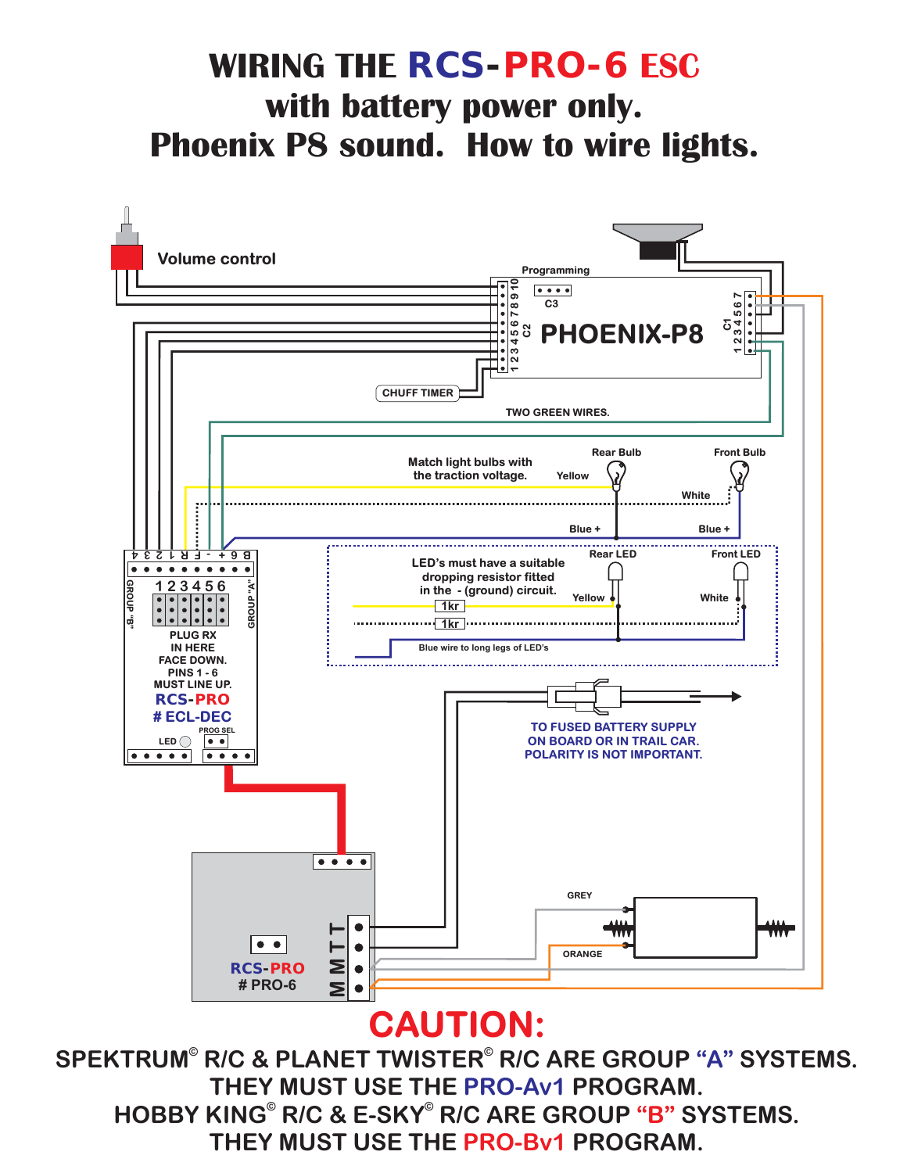### **WIRING THE** *RCS-PRO-6* **ESC with battery power only. Phoenix P8 sound. How to wire lights.**



#### **CAUTION:**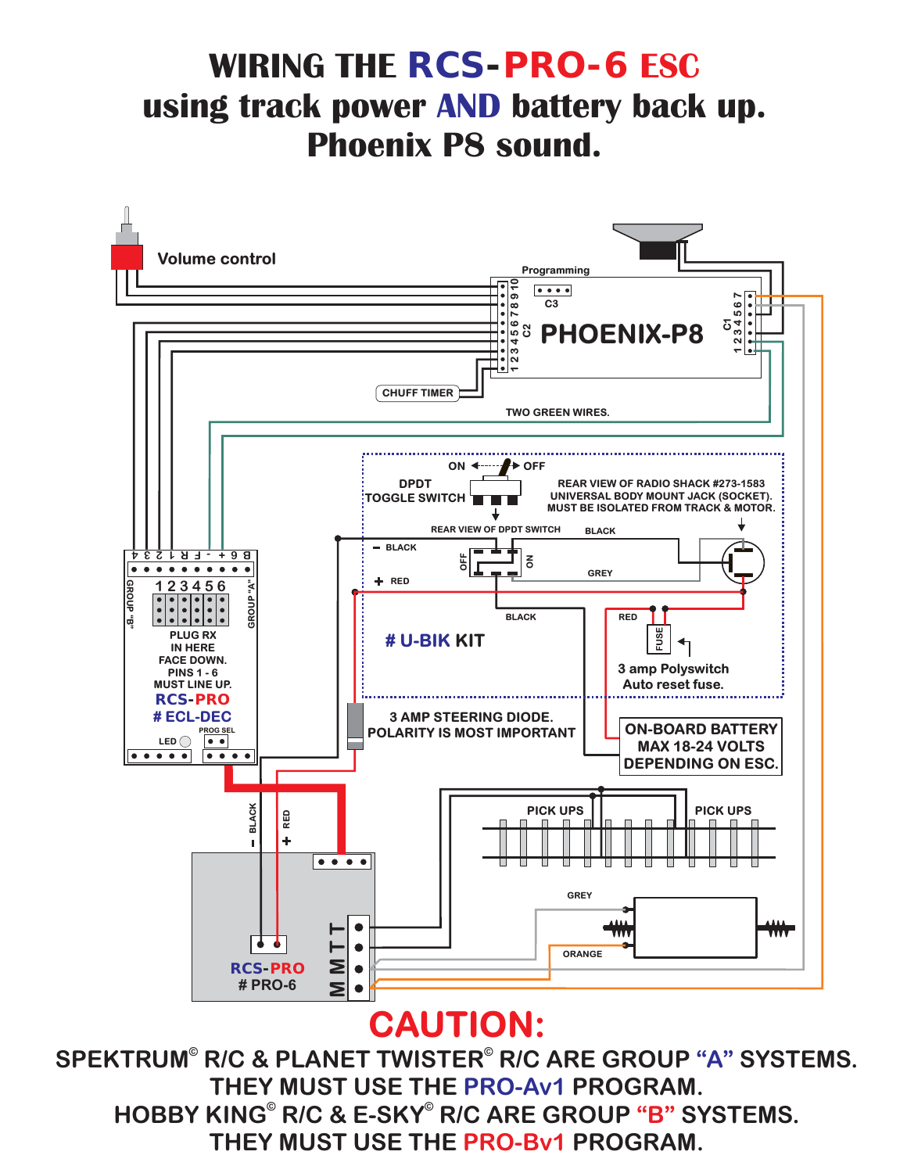# **WIRING THE** *RCS-PRO-6* **ESC using track power AND battery back up. Phoenix P8 sound.**



#### **CAUTION:**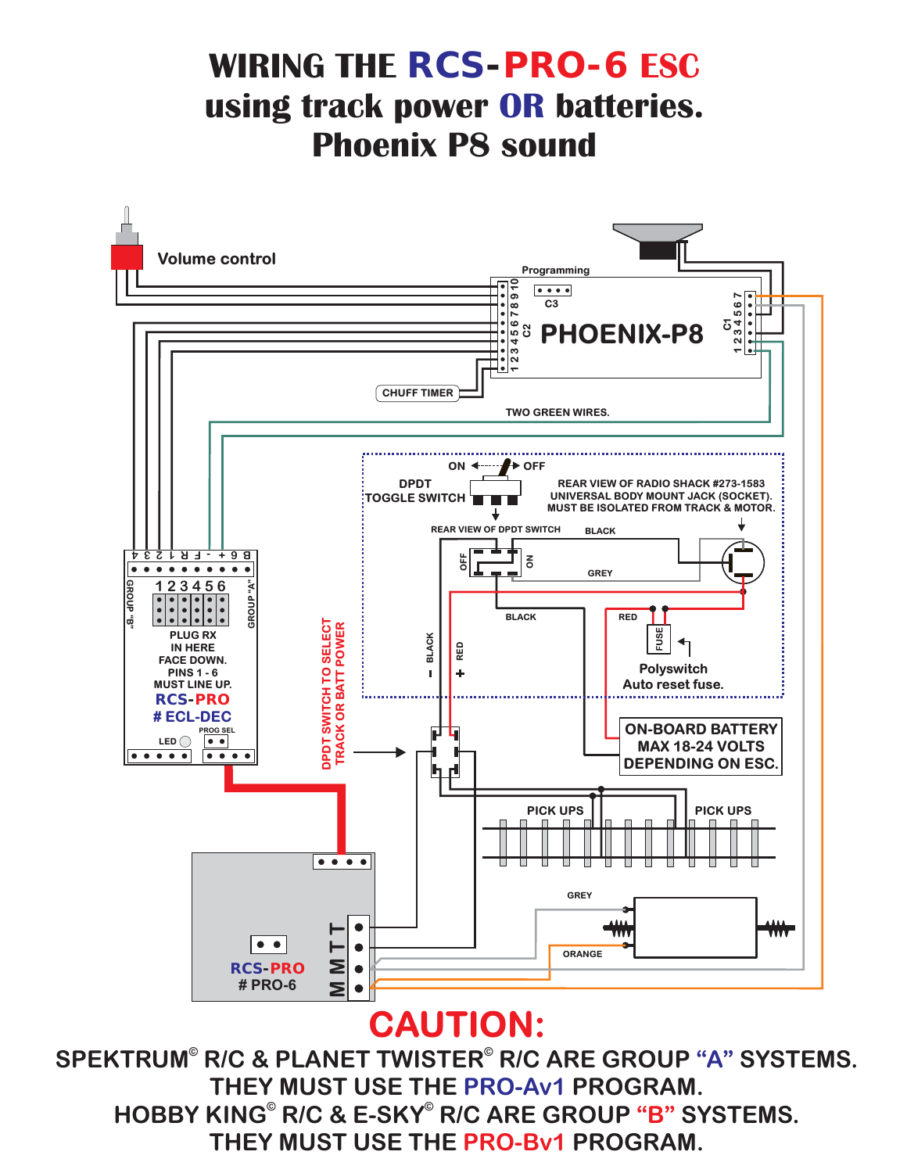### **WIRING THE** *RCS-PRO-6* **ESC using track power OR batteries. Phoenix P8 sound**



#### **CAUTION:**